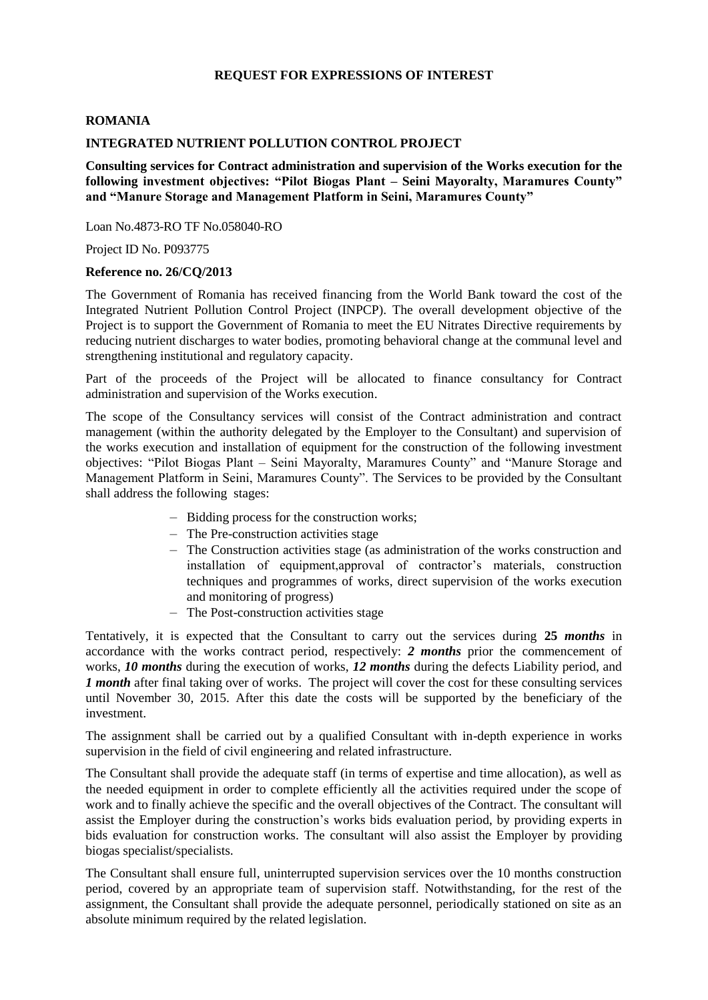## **REQUEST FOR EXPRESSIONS OF INTEREST**

## **ROMANIA**

## **INTEGRATED NUTRIENT POLLUTION CONTROL PROJECT**

**Consulting services for Contract administration and supervision of the Works execution for the following investment objectives: "Pilot Biogas Plant – Seini Mayoralty, Maramures County" and "Manure Storage and Management Platform in Seini, Maramures County"**

Loan No.4873-RO TF No.058040-RO

Project ID No. P093775

## **Reference no. 26/CQ/2013**

The Government of Romania has received financing from the World Bank toward the cost of the Integrated Nutrient Pollution Control Project (INPCP). The overall development objective of the Project is to support the Government of Romania to meet the EU Nitrates Directive requirements by reducing nutrient discharges to water bodies, promoting behavioral change at the communal level and strengthening institutional and regulatory capacity.

Part of the proceeds of the Project will be allocated to finance consultancy for Contract administration and supervision of the Works execution.

The scope of the Consultancy services will consist of the Contract administration and contract management (within the authority delegated by the Employer to the Consultant) and supervision of the works execution and installation of equipment for the construction of the following investment objectives: "Pilot Biogas Plant – Seini Mayoralty, Maramures County" and "Manure Storage and Management Platform in Seini, Maramures County". The Services to be provided by the Consultant shall address the following stages:

- Bidding process for the construction works;
- The Pre-construction activities stage
- The Construction activities stage (as administration of the works construction and installation of equipment,approval of contractor's materials, construction techniques and programmes of works, direct supervision of the works execution and monitoring of progress)
- The Post-construction activities stage

Tentatively, it is expected that the Consultant to carry out the services during **25** *months* in accordance with the works contract period, respectively: *2 months* prior the commencement of works, *10 months* during the execution of works, *12 months* during the defects Liability period, and *1 month* after final taking over of works. The project will cover the cost for these consulting services until November 30, 2015. After this date the costs will be supported by the beneficiary of the investment.

The assignment shall be carried out by a qualified Consultant with in-depth experience in works supervision in the field of civil engineering and related infrastructure.

The Consultant shall provide the adequate staff (in terms of expertise and time allocation), as well as the needed equipment in order to complete efficiently all the activities required under the scope of work and to finally achieve the specific and the overall objectives of the Contract. The consultant will assist the Employer during the construction's works bids evaluation period, by providing experts in bids evaluation for construction works. The consultant will also assist the Employer by providing biogas specialist/specialists.

The Consultant shall ensure full, uninterrupted supervision services over the 10 months construction period, covered by an appropriate team of supervision staff. Notwithstanding, for the rest of the assignment, the Consultant shall provide the adequate personnel, periodically stationed on site as an absolute minimum required by the related legislation.